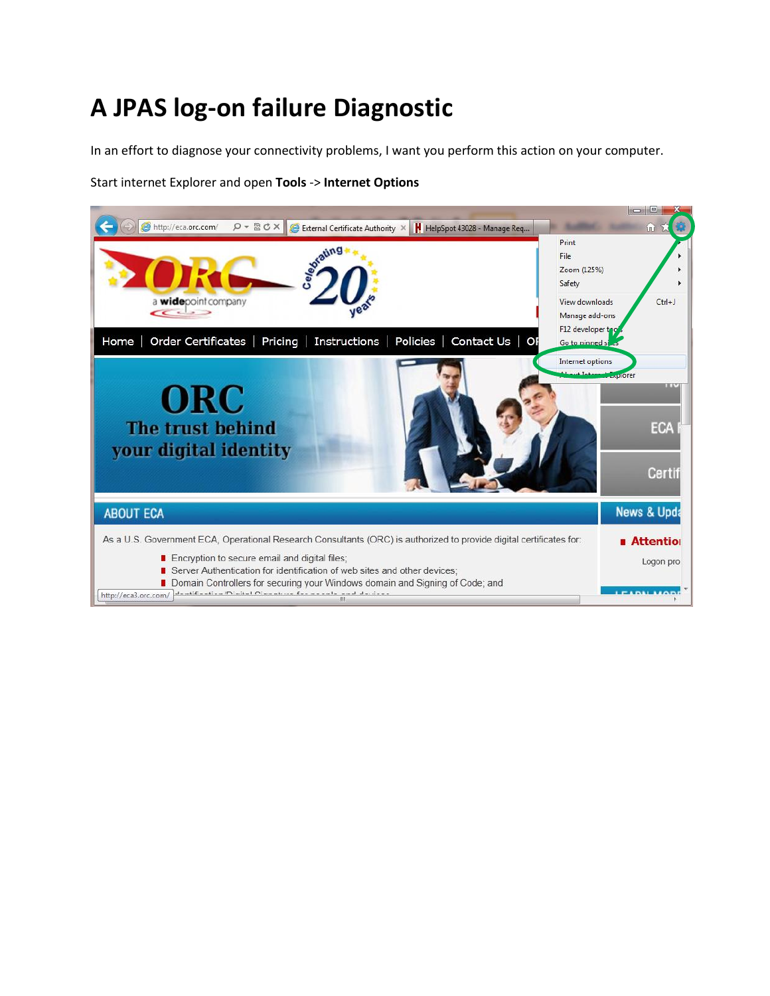## **A JPAS log-on failure Diagnostic**

In an effort to diagnose your connectivity problems, I want you perform this action on your computer.

Start internet Explorer and open **Tools** -> **Internet Options**

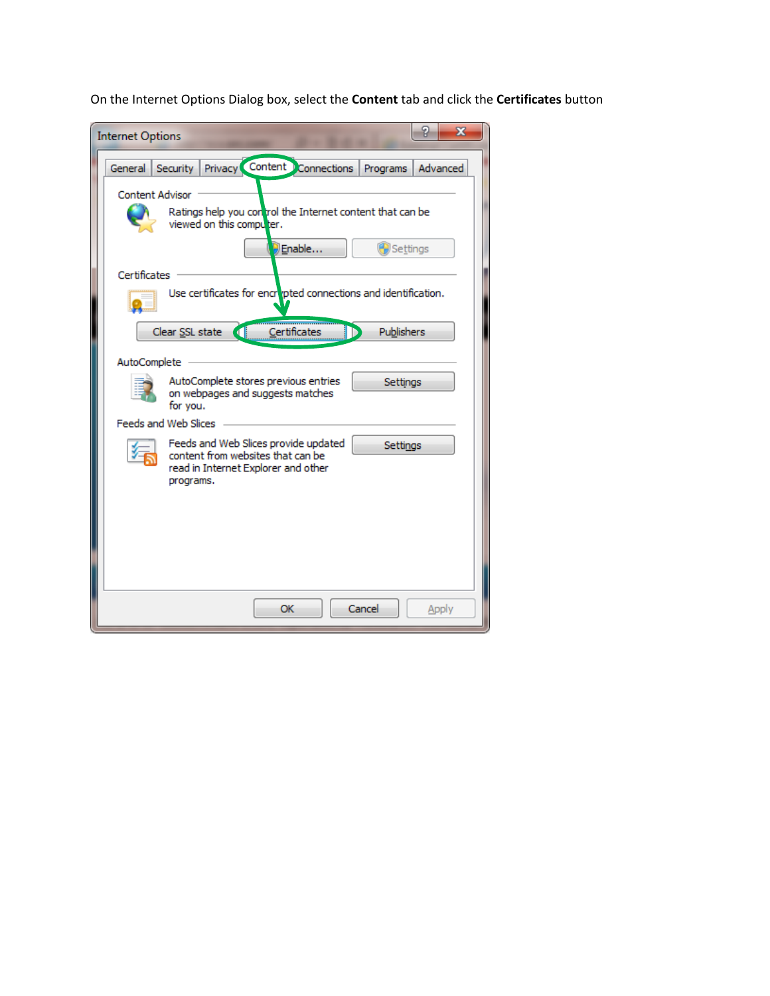On the Internet Options Dialog box, select the **Content** tab and click the **Certificates** button

| P<br>$\overline{\mathbf{x}}$<br><b>Internet Options</b>                                                                                   |
|-------------------------------------------------------------------------------------------------------------------------------------------|
| Privacy Content Connections<br>Security<br>General<br>Advanced<br>Programs                                                                |
| <b>Content Advisor</b><br>Ratings help you control the Internet content that can be<br>viewed on this computer.                           |
| Enable<br>Settings<br>Certificates<br>Use certificates for encrepted connections and identification.                                      |
| Certificates<br>Publishers<br>Clear SSL state<br>$\begin{array}{c} \begin{array}{c} \hline \end{array} \end{array}$                       |
| <b>AutoComplete</b>                                                                                                                       |
| AutoComplete stores previous entries<br><b>Settings</b><br>on webpages and suggests matches<br>for you.                                   |
| Feeds and Web Slices                                                                                                                      |
| Feeds and Web Slices provide updated<br>Settings<br>content from websites that can be<br>read in Internet Explorer and other<br>programs. |
|                                                                                                                                           |
|                                                                                                                                           |
| Cancel<br>OK<br>Apply                                                                                                                     |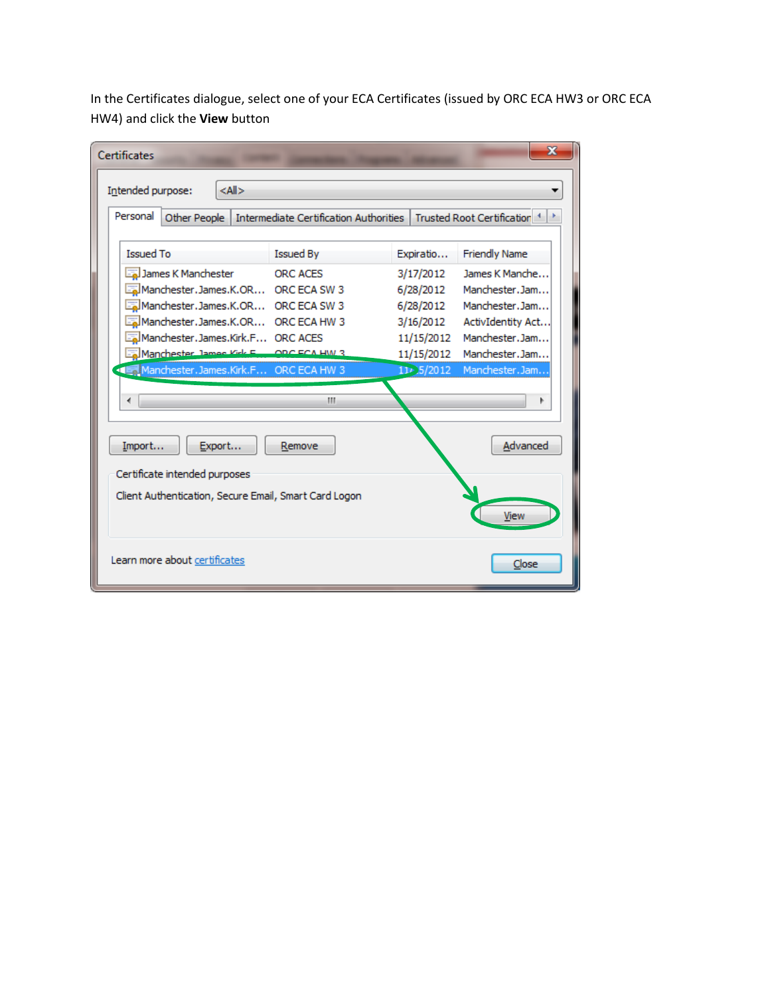In the Certificates dialogue, select one of your ECA Certificates (issued by ORC ECA HW3 or ORC ECA HW4) and click the **View** button

| <b>Certificates</b>                                                                                                                                                                                                                                       |                                        |                                                                                                   | x                                                                                                                               |  |
|-----------------------------------------------------------------------------------------------------------------------------------------------------------------------------------------------------------------------------------------------------------|----------------------------------------|---------------------------------------------------------------------------------------------------|---------------------------------------------------------------------------------------------------------------------------------|--|
| $<$ All $>$<br>Intended purpose:                                                                                                                                                                                                                          |                                        |                                                                                                   |                                                                                                                                 |  |
| Personal<br>Other People                                                                                                                                                                                                                                  | Intermediate Certification Authorities |                                                                                                   | Trusted Root Certification <sup>4</sup>                                                                                         |  |
| <b>Issued To</b>                                                                                                                                                                                                                                          | Issued By                              | Expiratio                                                                                         | <b>Friendly Name</b>                                                                                                            |  |
| James K Manchester<br>Manchester.James.K.OR ORC ECA SW 3<br>Manchester.James.K.OR ORC ECA SW 3<br>Manchester.James.K.OR ORC ECA HW 3<br>Manchester.James.Kirk.F ORC ACES<br>Manchester James Kirk E., ORCECA HW 3<br>Manchester.James.Kirk.F ORC ECA HW 3 | <b>ORC ACES</b><br>Ш                   | 3/17/2012<br>6/28/2012<br>6/28/2012<br>3/16/2012<br>11/15/2012<br>11/15/2012<br>$11 \cdot 5/2012$ | James K Manche<br>Manchester, Jam<br>Manchester.Jam<br>ActivIdentity Act<br>Manchester.Jam<br>Manchester, Jam<br>Manchester.Jam |  |
| Export<br>Import<br>Certificate intended purposes<br>Client Authentication, Secure Email, Smart Card Logon                                                                                                                                                | Remove                                 |                                                                                                   | Advanced<br>View                                                                                                                |  |
| Learn more about certificates                                                                                                                                                                                                                             |                                        |                                                                                                   | Close                                                                                                                           |  |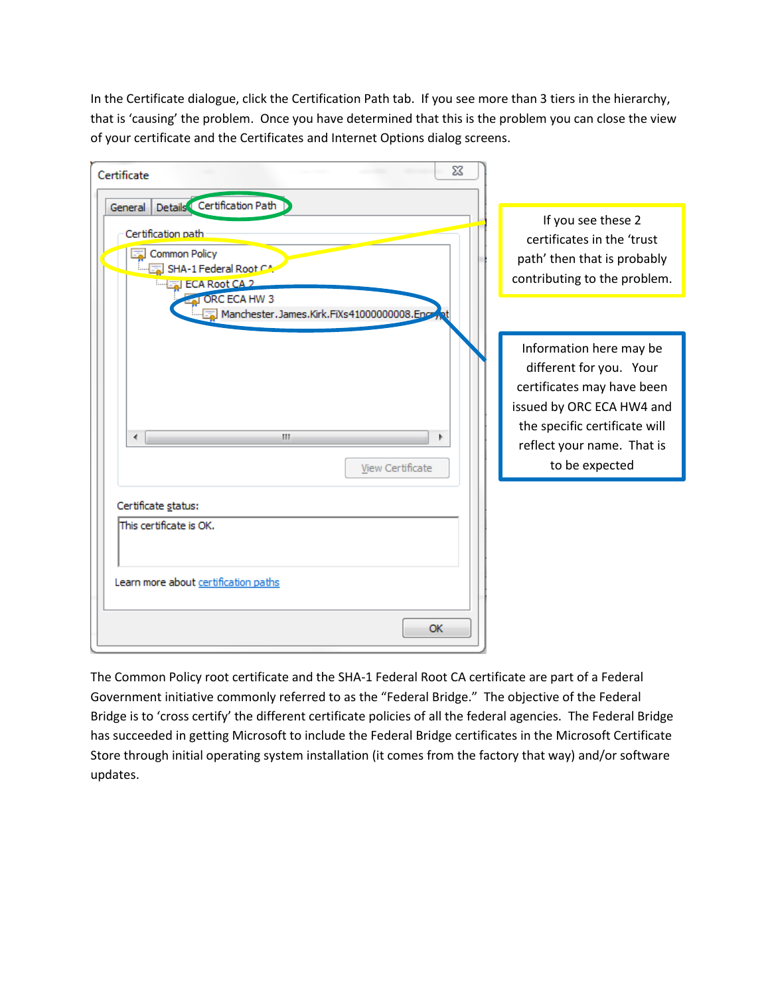| X<br>Certificate                                                                                                                                                                                     |                                                                                                                                                                                                |
|------------------------------------------------------------------------------------------------------------------------------------------------------------------------------------------------------|------------------------------------------------------------------------------------------------------------------------------------------------------------------------------------------------|
| Details Certification Path<br>General<br>Certification path<br><b>Common Policy</b><br>SHA-1 Federal Root CA<br>Engl ECA Root CA 2<br>ORC ECA HW 3<br>Manchester, James, Kirk, FiXs41000000008, Enco | If you see these 2<br>certificates in the 'trust<br>path' then that is probably<br>contributing to the problem.                                                                                |
| m.<br>∢<br>þ.<br>View Certificate                                                                                                                                                                    | Information here may be<br>different for you. Your<br>certificates may have been<br>issued by ORC ECA HW4 and<br>the specific certificate will<br>reflect your name. That is<br>to be expected |
| Certificate status:<br>This certificate is OK.<br>Learn more about certification paths<br>OK                                                                                                         |                                                                                                                                                                                                |

In the Certificate dialogue, click the Certification Path tab. If you see more than 3 tiers in the hierarchy, that is 'causing' the problem. Once you have determined that this is the problem you can close the view of your certificate and the Certificates and Internet Options dialog screens.

The Common Policy root certificate and the SHA-1 Federal Root CA certificate are part of a Federal Government initiative commonly referred to as the "Federal Bridge." The objective of the Federal Bridge is to 'cross certify' the different certificate policies of all the federal agencies. The Federal Bridge has succeeded in getting Microsoft to include the Federal Bridge certificates in the Microsoft Certificate Store through initial operating system installation (it comes from the factory that way) and/or software updates.